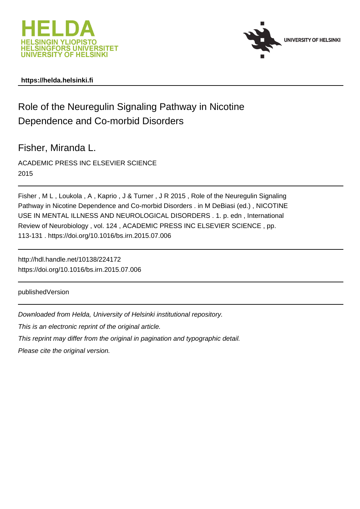



## **https://helda.helsinki.fi**

## Role of the Neuregulin Signaling Pathway in Nicotine Dependence and Co-morbid Disorders

Fisher, Miranda L.

ACADEMIC PRESS INC ELSEVIER SCIENCE 2015

Fisher , M L , Loukola , A , Kaprio , J & Turner , J R 2015 , Role of the Neuregulin Signaling Pathway in Nicotine Dependence and Co-morbid Disorders . in M DeBiasi (ed.) , NICOTINE USE IN MENTAL ILLNESS AND NEUROLOGICAL DISORDERS . 1. p. edn , International Review of Neurobiology , vol. 124 , ACADEMIC PRESS INC ELSEVIER SCIENCE , pp. 113-131 . https://doi.org/10.1016/bs.irn.2015.07.006

http://hdl.handle.net/10138/224172 https://doi.org/10.1016/bs.irn.2015.07.006

publishedVersion

Downloaded from Helda, University of Helsinki institutional repository.

This is an electronic reprint of the original article.

This reprint may differ from the original in pagination and typographic detail.

Please cite the original version.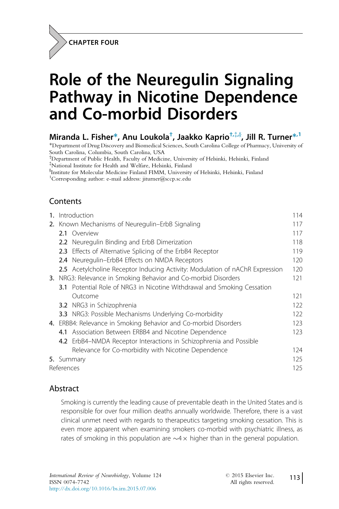CHAPTER FOUR

# Role of the Neuregulin Signaling Pathway in Nicotine Dependence and Co-morbid Disorders

## Miranda L. Fisher\*, Anu Loukola<sup>†</sup>, Jaakko Kaprio<sup>†,‡,§</sup>, Jill R. Turner<sup>\*, 1</sup>

\*Department of Drug Discovery and Biomedical Sciences, South Carolina College of Pharmacy, University of South Carolina, Columbia, South Carolina, USA

† Department of Public Health, Faculty of Medicine, University of Helsinki, Helsinki, Finland

{ National Institute for Health and Welfare, Helsinki, Finland

} Institute for Molecular Medicine Finland FIMM, University of Helsinki, Helsinki, Finland

1 Corresponding author: e-mail address: jiturner@sccp.sc.edu

### Contents

| 1.                                                             | Introduction |                                                                                | 114 |
|----------------------------------------------------------------|--------------|--------------------------------------------------------------------------------|-----|
| 2. Known Mechanisms of Neuregulin–ErbB Signaling               |              |                                                                                | 117 |
|                                                                |              | 2.1 Overview                                                                   | 117 |
|                                                                |              | <b>2.2</b> Neuregulin Binding and ErbB Dimerization                            | 118 |
|                                                                |              | 2.3 Effects of Alternative Splicing of the ErbB4 Receptor                      | 119 |
|                                                                |              | 2.4 Neuregulin-ErbB4 Effects on NMDA Receptors                                 | 120 |
|                                                                |              | 2.5 Acetylcholine Receptor Inducing Activity: Modulation of nAChR Expression   | 120 |
| 3. NRG3: Relevance in Smoking Behavior and Co-morbid Disorders |              |                                                                                | 121 |
|                                                                |              | <b>3.1</b> Potential Role of NRG3 in Nicotine Withdrawal and Smoking Cessation |     |
|                                                                |              | Outcome                                                                        | 121 |
|                                                                |              | <b>3.2</b> NRG3 in Schizophrenia                                               | 122 |
|                                                                |              | <b>3.3</b> NRG3: Possible Mechanisms Underlying Co-morbidity                   | 122 |
|                                                                |              | 4. ERBB4: Relevance in Smoking Behavior and Co-morbid Disorders                | 123 |
|                                                                |              | 4.1 Association Between ERBB4 and Nicotine Dependence                          | 123 |
|                                                                |              | 4.2 ErbB4-NMDA Receptor Interactions in Schizophrenia and Possible             |     |
|                                                                |              | Relevance for Co-morbidity with Nicotine Dependence                            | 124 |
|                                                                | 5. Summary   |                                                                                | 125 |
|                                                                | References   |                                                                                |     |

#### Abstract

Smoking is currently the leading cause of preventable death in the United States and is responsible for over four million deaths annually worldwide. Therefore, there is a vast clinical unmet need with regards to therapeutics targeting smoking cessation. This is even more apparent when examining smokers co-morbid with psychiatric illness, as rates of smoking in this population are  $\sim 4 \times$  higher than in the general population.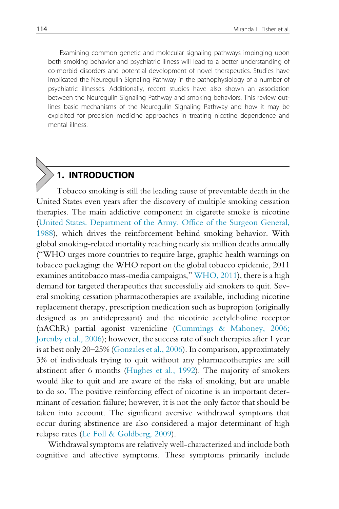Examining common genetic and molecular signaling pathways impinging upon both smoking behavior and psychiatric illness will lead to a better understanding of co-morbid disorders and potential development of novel therapeutics. Studies have implicated the Neuregulin Signaling Pathway in the pathophysiology of a number of psychiatric illnesses. Additionally, recent studies have also shown an association between the Neuregulin Signaling Pathway and smoking behaviors. This review outlines basic mechanisms of the Neuregulin Signaling Pathway and how it may be exploited for precision medicine approaches in treating nicotine dependence and mental illness.

## **INTRODUCTION**

Tobacco smoking is still the leading cause of preventable death in the United States even years after the discovery of multiple smoking cessation therapies. The main addictive component in cigarette smoke is nicotine (United States. Department of the Army. Office of the Surgeon General, 1988), which drives the reinforcement behind smoking behavior. With global smoking-related mortality reaching nearly six million deaths annually ("WHO urges more countries to require large, graphic health warnings on tobacco packaging: the WHO report on the global tobacco epidemic, 2011 examines antitobacco mass-media campaigns," WHO, 2011), there is a high demand for targeted therapeutics that successfully aid smokers to quit. Several smoking cessation pharmacotherapies are available, including nicotine replacement therapy, prescription medication such as bupropion (originally designed as an antidepressant) and the nicotinic acetylcholine receptor (nAChR) partial agonist varenicline (Cummings & Mahoney, 2006; Jorenby et al., 2006); however, the success rate of such therapies after 1 year is at best only 20–25% (Gonzales et al., 2006). In comparison, approximately 3% of individuals trying to quit without any pharmacotherapies are still abstinent after 6 months (Hughes et al., 1992). The majority of smokers would like to quit and are aware of the risks of smoking, but are unable to do so. The positive reinforcing effect of nicotine is an important determinant of cessation failure; however, it is not the only factor that should be taken into account. The significant aversive withdrawal symptoms that occur during abstinence are also considered a major determinant of high relapse rates (Le Foll & Goldberg, 2009).

Withdrawal symptoms are relatively well-characterized and include both cognitive and affective symptoms. These symptoms primarily include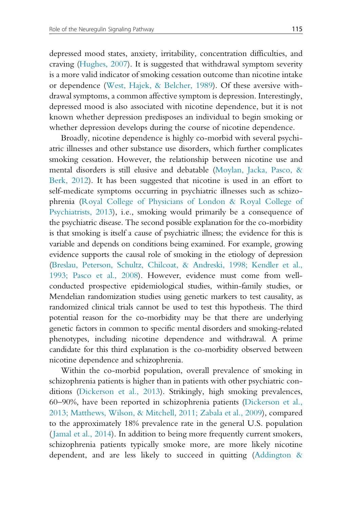depressed mood states, anxiety, irritability, concentration difficulties, and craving (Hughes, 2007). It is suggested that withdrawal symptom severity is a more valid indicator of smoking cessation outcome than nicotine intake or dependence (West, Hajek, & Belcher, 1989). Of these aversive withdrawal symptoms, a common affective symptom is depression. Interestingly, depressed mood is also associated with nicotine dependence, but it is not known whether depression predisposes an individual to begin smoking or whether depression develops during the course of nicotine dependence.

Broadly, nicotine dependence is highly co-morbid with several psychiatric illnesses and other substance use disorders, which further complicates smoking cessation. However, the relationship between nicotine use and mental disorders is still elusive and debatable (Moylan, Jacka, Pasco, & Berk, 2012). It has been suggested that nicotine is used in an effort to self-medicate symptoms occurring in psychiatric illnesses such as schizophrenia (Royal College of Physicians of London & Royal College of Psychiatrists, 2013), i.e., smoking would primarily be a consequence of the psychiatric disease. The second possible explanation for the co-morbidity is that smoking is itself a cause of psychiatric illness; the evidence for this is variable and depends on conditions being examined. For example, growing evidence supports the causal role of smoking in the etiology of depression (Breslau, Peterson, Schultz, Chilcoat, & Andreski, 1998; Kendler et al., 1993; Pasco et al., 2008). However, evidence must come from wellconducted prospective epidemiological studies, within-family studies, or Mendelian randomization studies using genetic markers to test causality, as randomized clinical trials cannot be used to test this hypothesis. The third potential reason for the co-morbidity may be that there are underlying genetic factors in common to specific mental disorders and smoking-related phenotypes, including nicotine dependence and withdrawal. A prime candidate for this third explanation is the co-morbidity observed between nicotine dependence and schizophrenia.

Within the co-morbid population, overall prevalence of smoking in schizophrenia patients is higher than in patients with other psychiatric conditions (Dickerson et al., 2013). Strikingly, high smoking prevalences, 60–90%, have been reported in schizophrenia patients (Dickerson et al., 2013; Matthews, Wilson, & Mitchell, 2011; Zabala et al., 2009), compared to the approximately 18% prevalence rate in the general U.S. population (Jamal et al., 2014). In addition to being more frequently current smokers, schizophrenia patients typically smoke more, are more likely nicotine dependent, and are less likely to succeed in quitting (Addington &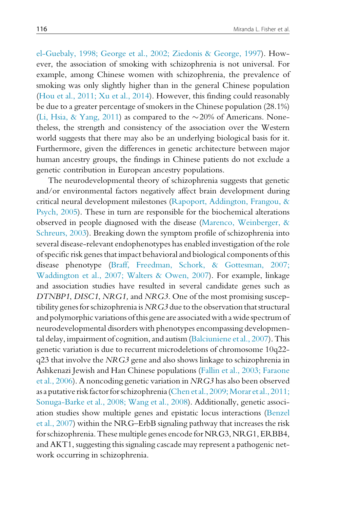el-Guebaly, 1998; George et al., 2002; Ziedonis & George, 1997). However, the association of smoking with schizophrenia is not universal. For example, among Chinese women with schizophrenia, the prevalence of smoking was only slightly higher than in the general Chinese population (Hou et al., 2011; Xu et al., 2014). However, this finding could reasonably be due to a greater percentage of smokers in the Chinese population (28.1%) (Li, Hsia, & Yang, 2011) as compared to the  $\sim$  20% of Americans. Nonetheless, the strength and consistency of the association over the Western world suggests that there may also be an underlying biological basis for it. Furthermore, given the differences in genetic architecture between major human ancestry groups, the findings in Chinese patients do not exclude a genetic contribution in European ancestry populations.

The neurodevelopmental theory of schizophrenia suggests that genetic and/or environmental factors negatively affect brain development during critical neural development milestones (Rapoport, Addington, Frangou, & Psych, 2005). These in turn are responsible for the biochemical alterations observed in people diagnosed with the disease (Marenco, Weinberger, & Schreurs, 2003). Breaking down the symptom profile of schizophrenia into several disease-relevant endophenotypes has enabled investigation of the role of specific risk genes that impact behavioral and biological components of this disease phenotype (Braff, Freedman, Schork, & Gottesman, 2007; Waddington et al., 2007; Walters & Owen, 2007). For example, linkage and association studies have resulted in several candidate genes such as DTNBP1, DISC1, NRG1, and NRG3. One of the most promising susceptibility genes for schizophrenia is  $NRG3$  due to the observation that structural and polymorphic variations ofthis gene are associated with a wide spectrum of neurodevelopmental disorders with phenotypes encompassing developmental delay, impairment of cognition, and autism (Balciuniene et al., 2007). This genetic variation is due to recurrent microdeletions of chromosome 10q22 q23 that involve the NRG3 gene and also shows linkage to schizophrenia in Ashkenazi Jewish and Han Chinese populations (Fallin et al., 2003; Faraone et al., 2006). A noncoding genetic variation in NRG3 has also been observed as a putative risk factor for schizophrenia (Chen et al., 2009; Morar et al., 2011; Sonuga-Barke et al., 2008; Wang et al., 2008). Additionally, genetic association studies show multiple genes and epistatic locus interactions (Benzel et al., 2007) within the NRG–ErbB signaling pathway that increases the risk for schizophrenia. These multiple genes encode for NRG3, NRG1, ERBB4, and AKT1, suggesting this signaling cascade may represent a pathogenic network occurring in schizophrenia.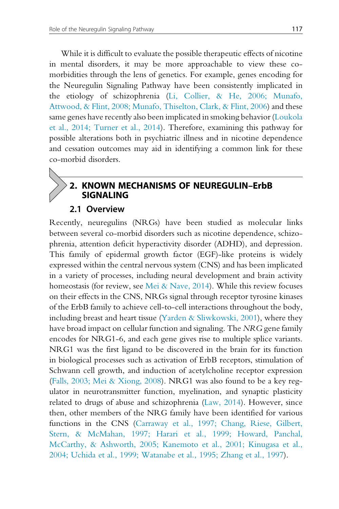While it is difficult to evaluate the possible therapeutic effects of nicotine in mental disorders, it may be more approachable to view these comorbidities through the lens of genetics. For example, genes encoding for the Neuregulin Signaling Pathway have been consistently implicated in the etiology of schizophrenia (Li, Collier, & He, 2006; Munafo, Attwood, & Flint, 2008; Munafo, Thiselton, Clark, & Flint, 2006) and these same genes have recently also been implicated in smoking behavior (Loukola et al., 2014; Turner et al., 2014). Therefore, examining this pathway for possible alterations both in psychiatric illness and in nicotine dependence and cessation outcomes may aid in identifying a common link for these co-morbid disorders.

#### 2. KNOWN MECHANISMS OF NEUREGULIN–ErbB SIGNALING

#### 2.1 Overview

Recently, neuregulins (NRGs) have been studied as molecular links between several co-morbid disorders such as nicotine dependence, schizophrenia, attention deficit hyperactivity disorder (ADHD), and depression. This family of epidermal growth factor (EGF)-like proteins is widely expressed within the central nervous system (CNS) and has been implicated in a variety of processes, including neural development and brain activity homeostasis (for review, see Mei & Nave, 2014). While this review focuses on their effects in the CNS, NRGs signal through receptor tyrosine kinases of the ErbB family to achieve cell-to-cell interactions throughout the body, including breast and heart tissue (Yarden & Sliwkowski, 2001), where they have broad impact on cellular function and signaling. The NRG gene family encodes for NRG1-6, and each gene gives rise to multiple splice variants. NRG1 was the first ligand to be discovered in the brain for its function in biological processes such as activation of ErbB receptors, stimulation of Schwann cell growth, and induction of acetylcholine receptor expression (Falls, 2003; Mei & Xiong, 2008). NRG1 was also found to be a key regulator in neurotransmitter function, myelination, and synaptic plasticity related to drugs of abuse and schizophrenia (Law, 2014). However, since then, other members of the NRG family have been identified for various functions in the CNS (Carraway et al., 1997; Chang, Riese, Gilbert, Stern, & McMahan, 1997; Harari et al., 1999; Howard, Panchal, McCarthy, & Ashworth, 2005; Kanemoto et al., 2001; Kinugasa et al., 2004; Uchida et al., 1999; Watanabe et al., 1995; Zhang et al., 1997).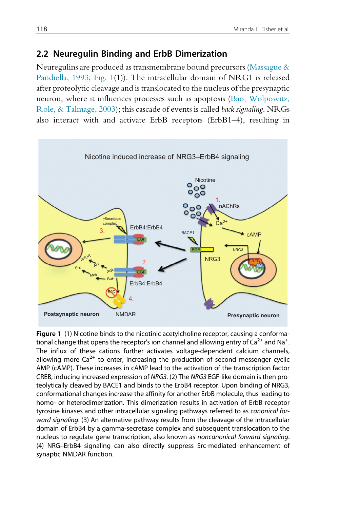#### 2.2 Neuregulin Binding and ErbB Dimerization

Neuregulins are produced as transmembrane bound precursors (Massague & Pandiella, 1993; Fig. 1(1)). The intracellular domain of NRG1 is released after proteolytic cleavage and is translocated to the nucleus of the presynaptic neuron, where it influences processes such as apoptosis (Bao, Wolpowitz, Role, & Talmage, 2003); this cascade of events is called back signaling. NRGs also interact with and activate ErbB receptors (ErbB1–4), resulting in



Figure 1 (1) Nicotine binds to the nicotinic acetylcholine receptor, causing a conformational change that opens the receptor's ion channel and allowing entry of  $Ca^{2+}$  and Na<sup>+</sup>. . The influx of these cations further activates voltage-dependent calcium channels, allowing more  $Ca^{2+}$  to enter, increasing the production of second messenger cyclic AMP (cAMP). These increases in cAMP lead to the activation of the transcription factor CREB, inducing increased expression of NRG3. (2) The NRG3 EGF-like domain is then proteolytically cleaved by BACE1 and binds to the ErbB4 receptor. Upon binding of NRG3, conformational changes increase the affinity for another ErbB molecule, thus leading to homo- or heterodimerization. This dimerization results in activation of ErbB receptor tyrosine kinases and other intracellular signaling pathways referred to as canonical forward signaling. (3) An alternative pathway results from the cleavage of the intracellular domain of ErbB4 by a gamma-secretase complex and subsequent translocation to the nucleus to regulate gene transcription, also known as noncanonical forward signaling. (4) NRG–ErbB4 signaling can also directly suppress Src-mediated enhancement of synaptic NMDAR function.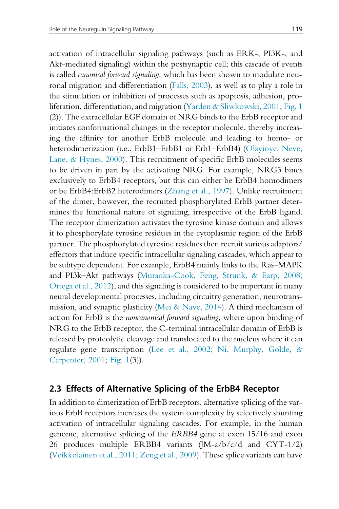activation of intracellular signaling pathways (such as ERK-, PI3K-, and Akt-mediated signaling) within the postsynaptic cell; this cascade of events is called canonical forward signaling, which has been shown to modulate neuronal migration and differentiation (Falls, 2003), as well as to play a role in the stimulation or inhibition of processes such as apoptosis, adhesion, proliferation, differentiation, and migration (Yarden & Sliwkowski, 2001; Fig. 1 (2)). The extracellular EGF domain of NRG binds to the ErbB receptor and initiates conformational changes in the receptor molecule, thereby increasing the affinity for another ErbB molecule and leading to homo- or heterodimerization (i.e., ErbB1–ErbB1 or Erb1–ErbB4) (Olayioye, Neve, Lane, & Hynes, 2000). This recruitment of specific ErbB molecules seems to be driven in part by the activating NRG. For example, NRG3 binds exclusively to ErbB4 receptors, but this can either be ErbB4 homodimers or be ErbB4:ErbB2 heterodimers (Zhang et al., 1997). Unlike recruitment of the dimer, however, the recruited phosphorylated ErbB partner determines the functional nature of signaling, irrespective of the ErbB ligand. The receptor dimerization activates the tyrosine kinase domain and allows it to phosphorylate tyrosine residues in the cytoplasmic region of the ErbB partner. The phosphorylated tyrosine residues then recruit various adaptors/ effectors that induce specific intracellular signaling cascades, which appear to be subtype dependent. For example, ErbB4 mainly links to the Ras–MAPK and PI3k–Akt pathways (Muraoka-Cook, Feng, Strunk, & Earp, 2008; Ortega et al., 2012), and this signaling is considered to be important in many neural developmental processes, including circuitry generation, neurotransmission, and synaptic plasticity (Mei & Nave, 2014). A third mechanism of action for ErbB is the noncanonical forward signaling, where upon binding of NRG to the ErbB receptor, the C-terminal intracellular domain of ErbB is released by proteolytic cleavage and translocated to the nucleus where it can regulate gene transcription (Lee et al., 2002; Ni, Murphy, Golde, & Carpenter, 2001; Fig. 1(3)).

#### 2.3 Effects of Alternative Splicing of the ErbB4 Receptor

In addition to dimerization of ErbB receptors, alternative splicing of the various ErbB receptors increases the system complexity by selectively shunting activation of intracellular signaling cascades. For example, in the human genome, alternative splicing of the ERBB4 gene at exon 15/16 and exon 26 produces multiple ERBB4 variants  $(JM-a/b/c/d)$  and  $CYT-1/2$ (Veikkolainen et al., 2011; Zeng et al., 2009). These splice variants can have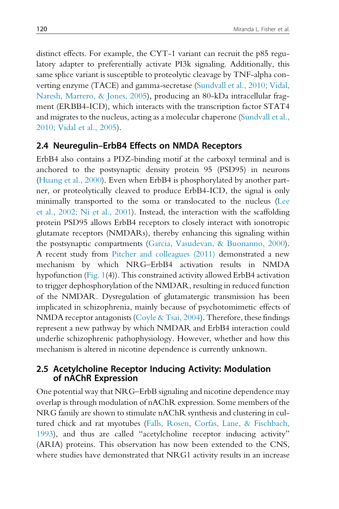distinct effects. For example, the CYT-1 variant can recruit the p85 regulatory adapter to preferentially activate PI3k signaling. Additionally, this same splice variant is susceptible to proteolytic cleavage by TNF-alpha converting enzyme (TACE) and gamma-secretase (Sundvall et al., 2010; Vidal, Naresh, Marrero, & Jones, 2005), producing an 80-kDa intracellular fragment (ERBB4-ICD), which interacts with the transcription factor STAT4 and migrates to the nucleus, acting as a molecular chaperone (Sundvall et al., 2010; Vidal et al., 2005).

#### 2.4 Neuregulin–ErbB4 Effects on NMDA Receptors

ErbB4 also contains a PDZ-binding motif at the carboxyl terminal and is anchored to the postsynaptic density protein 95 (PSD95) in neurons (Huang et al., 2000). Even when ErbB4 is phosphorylated by another partner, or proteolytically cleaved to produce ErbB4-ICD, the signal is only minimally transported to the soma or translocated to the nucleus (Lee et al., 2002; Ni et al., 2001). Instead, the interaction with the scaffolding protein PSD95 allows ErbB4 receptors to closely interact with ionotropic glutamate receptors (NMDARs), thereby enhancing this signaling within the postsynaptic compartments (Garcia, Vasudevan, & Buonanno, 2000). A recent study from Pitcher and colleagues (2011) demonstrated a new mechanism by which NRG–ErbB4 activation results in NMDA hypofunction (Fig. 1(4)). This constrained activity allowed ErbB4 activation to trigger dephosphorylation of the NMDAR, resulting in reduced function of the NMDAR. Dysregulation of glutamatergic transmission has been implicated in schizophrenia, mainly because of psychotomimetic effects of NMDA receptor antagonists (Coyle & Tsai, 2004). Therefore, these findings represent a new pathway by which NMDAR and ErbB4 interaction could underlie schizophrenic pathophysiology. However, whether and how this mechanism is altered in nicotine dependence is currently unknown.

#### 2.5 Acetylcholine Receptor Inducing Activity: Modulation of nAChR Expression

One potential way that NRG–ErbB signaling and nicotine dependence may overlap is through modulation of nAChR expression. Some members of the NRG family are shown to stimulate nAChR synthesis and clustering in cultured chick and rat myotubes (Falls, Rosen, Corfas, Lane, & Fischbach, 1993), and thus are called "acetylcholine receptor inducing activity" (ARIA) proteins. This observation has now been extended to the CNS, where studies have demonstrated that NRG1 activity results in an increase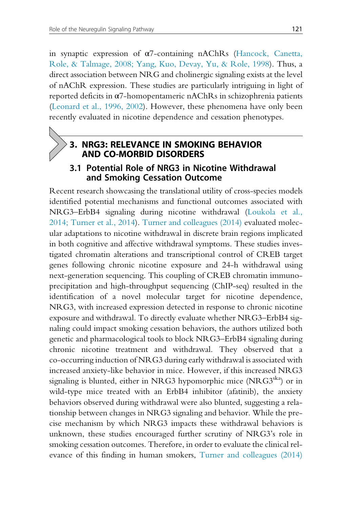in synaptic expression of α7-containing nAChRs (Hancock, Canetta, Role, & Talmage, 2008; Yang, Kuo, Devay, Yu, & Role, 1998). Thus, a direct association between NRG and cholinergic signaling exists at the level of nAChR expression. These studies are particularly intriguing in light of reported deficits in α7-homopentameric nAChRs in schizophrenia patients (Leonard et al., 1996, 2002). However, these phenomena have only been recently evaluated in nicotine dependence and cessation phenotypes.

#### 3. NRG3: RELEVANCE IN SMOKING BEHAVIOR AND CO-MORBID DISORDERS

#### 3.1 Potential Role of NRG3 in Nicotine Withdrawal and Smoking Cessation Outcome

Recent research showcasing the translational utility of cross-species models identified potential mechanisms and functional outcomes associated with NRG3–ErbB4 signaling during nicotine withdrawal (Loukola et al., 2014; Turner et al., 2014). Turner and colleagues (2014) evaluated molecular adaptations to nicotine withdrawal in discrete brain regions implicated in both cognitive and affective withdrawal symptoms. These studies investigated chromatin alterations and transcriptional control of CREB target genes following chronic nicotine exposure and 24-h withdrawal using next-generation sequencing. This coupling of CREB chromatin immunoprecipitation and high-throughput sequencing (ChIP-seq) resulted in the identification of a novel molecular target for nicotine dependence, NRG3, with increased expression detected in response to chronic nicotine exposure and withdrawal. To directly evaluate whether NRG3–ErbB4 signaling could impact smoking cessation behaviors, the authors utilized both genetic and pharmacological tools to block NRG3–ErbB4 signaling during chronic nicotine treatment and withdrawal. They observed that a co-occurring induction of NRG3 during early withdrawal is associated with increased anxiety-like behavior in mice. However, if this increased NRG3 signaling is blunted, either in NRG3 hypomorphic mice (NRG3<sup>ska</sup>) or in wild-type mice treated with an ErbB4 inhibitor (afatinib), the anxiety behaviors observed during withdrawal were also blunted, suggesting a relationship between changes in NRG3 signaling and behavior. While the precise mechanism by which NRG3 impacts these withdrawal behaviors is unknown, these studies encouraged further scrutiny of NRG3's role in smoking cessation outcomes. Therefore, in order to evaluate the clinical relevance of this finding in human smokers, Turner and colleagues (2014)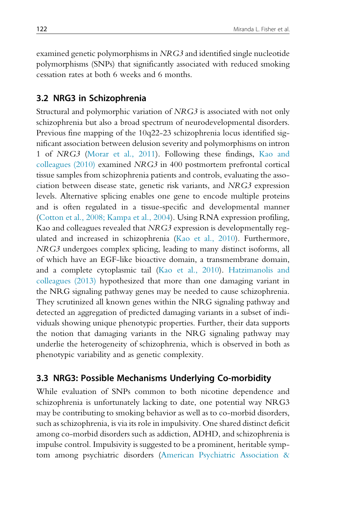examined genetic polymorphisms in NRG3 and identified single nucleotide polymorphisms (SNPs) that significantly associated with reduced smoking cessation rates at both 6 weeks and 6 months.

#### 3.2 NRG3 in Schizophrenia

Structural and polymorphic variation of NRG3 is associated with not only schizophrenia but also a broad spectrum of neurodevelopmental disorders. Previous fine mapping of the 10q22-23 schizophrenia locus identified significant association between delusion severity and polymorphisms on intron 1 of NRG3 (Morar et al., 2011). Following these findings, Kao and colleagues (2010) examined NRG3 in 400 postmortem prefrontal cortical tissue samples from schizophrenia patients and controls, evaluating the association between disease state, genetic risk variants, and NRG3 expression levels. Alternative splicing enables one gene to encode multiple proteins and is often regulated in a tissue-specific and developmental manner (Cotton et al., 2008; Kampa et al., 2004). Using RNA expression profiling, Kao and colleagues revealed that NRG3 expression is developmentally regulated and increased in schizophrenia (Kao et al., 2010). Furthermore, NRG3 undergoes complex splicing, leading to many distinct isoforms, all of which have an EGF-like bioactive domain, a transmembrane domain, and a complete cytoplasmic tail (Kao et al., 2010). Hatzimanolis and colleagues (2013) hypothesized that more than one damaging variant in the NRG signaling pathway genes may be needed to cause schizophrenia. They scrutinized all known genes within the NRG signaling pathway and detected an aggregation of predicted damaging variants in a subset of individuals showing unique phenotypic properties. Further, their data supports the notion that damaging variants in the NRG signaling pathway may underlie the heterogeneity of schizophrenia, which is observed in both as phenotypic variability and as genetic complexity.

#### 3.3 NRG3: Possible Mechanisms Underlying Co-morbidity

While evaluation of SNPs common to both nicotine dependence and schizophrenia is unfortunately lacking to date, one potential way NRG3 may be contributing to smoking behavior as well as to co-morbid disorders, such as schizophrenia, is via its role in impulsivity. One shared distinct deficit among co-morbid disorders such as addiction, ADHD, and schizophrenia is impulse control. Impulsivity is suggested to be a prominent, heritable symptom among psychiatric disorders (American Psychiatric Association &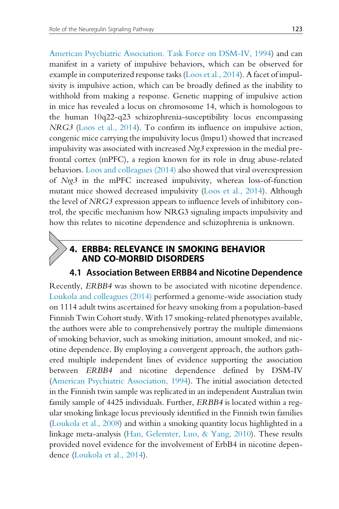American Psychiatric Association. Task Force on DSM-IV, 1994) and can manifest in a variety of impulsive behaviors, which can be observed for example in computerized response tasks (Loos et al., 2014). A facet of impulsivity is impulsive action, which can be broadly defined as the inability to withhold from making a response. Genetic mapping of impulsive action in mice has revealed a locus on chromosome 14, which is homologous to the human 10q22-q23 schizophrenia-susceptibility locus encompassing NRG3 (Loos et al., 2014). To confirm its influence on impulsive action, congenic mice carrying the impulsivity locus (lmpu1) showed that increased impulsivity was associated with increased Nrg3 expression in the medial prefrontal cortex (mPFC), a region known for its role in drug abuse-related behaviors. Loos and colleagues (2014) also showed that viral overexpression of Nrg3 in the mPFC increased impulsivity, whereas loss-of-function mutant mice showed decreased impulsivity (Loos et al., 2014). Although the level of NRG3 expression appears to influence levels of inhibitory control, the specific mechanism how NRG3 signaling impacts impulsivity and how this relates to nicotine dependence and schizophrenia is unknown.

## 4. ERBB4: RELEVANCE IN SMOKING BEHAVIOR AND CO-MORBID DISORDERS

#### 4.1 Association Between ERBB4 and Nicotine Dependence

Recently, ERBB4 was shown to be associated with nicotine dependence. Loukola and colleagues (2014) performed a genome-wide association study on 1114 adult twins ascertained for heavy smoking from a population-based Finnish Twin Cohort study. With 17 smoking-related phenotypes available, the authors were able to comprehensively portray the multiple dimensions of smoking behavior, such as smoking initiation, amount smoked, and nicotine dependence. By employing a convergent approach, the authors gathered multiple independent lines of evidence supporting the association between ERBB4 and nicotine dependence defined by DSM-IV (American Psychiatric Association, 1994). The initial association detected in the Finnish twin sample was replicated in an independent Australian twin family sample of 4425 individuals. Further, ERBB4 is located within a regular smoking linkage locus previously identified in the Finnish twin families (Loukola et al., 2008) and within a smoking quantity locus highlighted in a linkage meta-analysis (Han, Gelernter, Luo, & Yang, 2010). These results provided novel evidence for the involvement of ErbB4 in nicotine dependence (Loukola et al., 2014).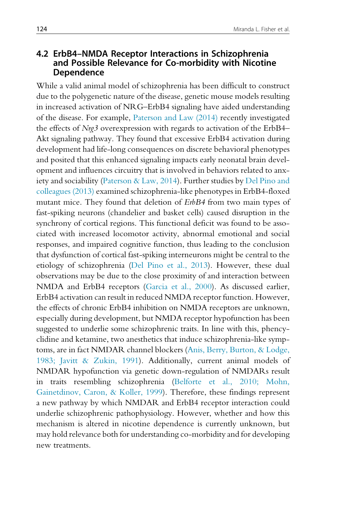#### 4.2 ErbB4–NMDA Receptor Interactions in Schizophrenia and Possible Relevance for Co-morbidity with Nicotine Dependence

While a valid animal model of schizophrenia has been difficult to construct due to the polygenetic nature of the disease, genetic mouse models resulting in increased activation of NRG–ErbB4 signaling have aided understanding of the disease. For example, Paterson and Law (2014) recently investigated the effects of Nrg3 overexpression with regards to activation of the ErbB4– Akt signaling pathway. They found that excessive ErbB4 activation during development had life-long consequences on discrete behavioral phenotypes and posited that this enhanced signaling impacts early neonatal brain development and influences circuitry that is involved in behaviors related to anxiety and sociability (Paterson & Law, 2014). Further studies by Del Pino and colleagues (2013) examined schizophrenia-like phenotypes in ErbB4-floxed mutant mice. They found that deletion of ErbB4 from two main types of fast-spiking neurons (chandelier and basket cells) caused disruption in the synchrony of cortical regions. This functional deficit was found to be associated with increased locomotor activity, abnormal emotional and social responses, and impaired cognitive function, thus leading to the conclusion that dysfunction of cortical fast-spiking interneurons might be central to the etiology of schizophrenia (Del Pino et al., 2013). However, these dual observations may be due to the close proximity of and interaction between NMDA and ErbB4 receptors (Garcia et al., 2000). As discussed earlier, ErbB4 activation can result in reduced NMDA receptor function. However, the effects of chronic ErbB4 inhibition on NMDA receptors are unknown, especially during development, but NMDA receptor hypofunction has been suggested to underlie some schizophrenic traits. In line with this, phencyclidine and ketamine, two anesthetics that induce schizophrenia-like symptoms, are in fact NMDAR channel blockers (Anis, Berry, Burton, & Lodge, 1983; Javitt & Zukin, 1991). Additionally, current animal models of NMDAR hypofunction via genetic down-regulation of NMDARs result in traits resembling schizophrenia (Belforte et al., 2010; Mohn, Gainetdinov, Caron, & Koller, 1999). Therefore, these findings represent a new pathway by which NMDAR and ErbB4 receptor interaction could underlie schizophrenic pathophysiology. However, whether and how this mechanism is altered in nicotine dependence is currently unknown, but may hold relevance both for understanding co-morbidity and for developing new treatments.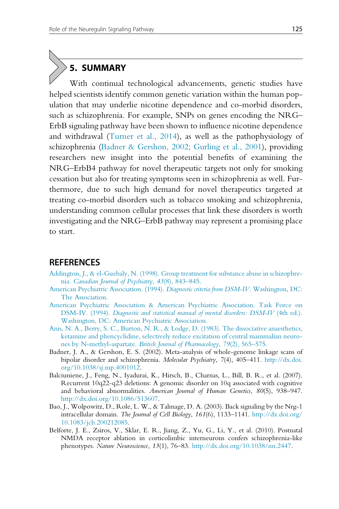## 5. SUMMARY

With continual technological advancements, genetic studies have helped scientists identify common genetic variation within the human population that may underlie nicotine dependence and co-morbid disorders, such as schizophrenia. For example, SNPs on genes encoding the NRG– ErbB signaling pathway have been shown to influence nicotine dependence and withdrawal (Turner et al., 2014), as well as the pathophysiology of schizophrenia (Badner & Gershon, 2002; Gurling et al., 2001), providing researchers new insight into the potential benefits of examining the NRG–ErbB4 pathway for novel therapeutic targets not only for smoking cessation but also for treating symptoms seen in schizophrenia as well. Furthermore, due to such high demand for novel therapeutics targeted at treating co-morbid disorders such as tobacco smoking and schizophrenia, understanding common cellular processes that link these disorders is worth investigating and the NRG–ErbB pathway may represent a promising place to start.

#### **REFERENCES**

- [Addington, J., & el-Guebaly, N. \(1998\). Group treatment for substance abuse in schizophre](http://refhub.elsevier.com/S0074-7742(15)00052-5/rf0005)nia. [Canadian Journal of Psychiatry](http://refhub.elsevier.com/S0074-7742(15)00052-5/rf0005), 43(8), 843–845.
- [American Psychiatric Association. \(1994\).](http://refhub.elsevier.com/S0074-7742(15)00052-5/rf0010) Diagnostic criteria from DSM-IV. Washington, DC: [The Association.](http://refhub.elsevier.com/S0074-7742(15)00052-5/rf0010)
- [American Psychiatric Association & American Psychiatric Association. Task Force on](http://refhub.elsevier.com/S0074-7742(15)00052-5/rf0015) DSM-IV. (1994). [Diagnostic and statistical manual of mental disorders: DSM-IV](http://refhub.elsevier.com/S0074-7742(15)00052-5/rf0015) (4th ed.). [Washington, DC: American Psychiatric Association.](http://refhub.elsevier.com/S0074-7742(15)00052-5/rf0015)
- [Anis, N. A., Berry, S. C., Burton, N. R., & Lodge, D. \(1983\). The dissociative anaesthetics,](http://refhub.elsevier.com/S0074-7742(15)00052-5/rf0020) [ketamine and phencyclidine, selectively reduce excitation of central mammalian neuro](http://refhub.elsevier.com/S0074-7742(15)00052-5/rf0020)nes by N-methyl-aspartate. [British Journal of Pharmacology](http://refhub.elsevier.com/S0074-7742(15)00052-5/rf0020), 79(2), 565–575.
- Badner, J. A., & Gershon, E. S. (2002). Meta-analysis of whole-genome linkage scans of bipolar disorder and schizophrenia. Molecular Psychiatry, 7(4), 405-411. [http://dx.doi.](http://dx.doi.org/10.1038/sj.mp.4001012) [org/10.1038/sj.mp.4001012](http://dx.doi.org/10.1038/sj.mp.4001012).
- Balciuniene, J., Feng, N., Iyadurai, K., Hirsch, B., Charnas, L., Bill, B. R., et al. (2007). Recurrent 10q22-q23 deletions: A genomic disorder on 10q associated with cognitive and behavioral abnormalities. American Journal of Human Genetics, 80(5), 938–947. <http://dx.doi.org/10.1086/513607>.
- Bao, J., Wolpowitz, D., Role, L. W., & Talmage, D. A. (2003). Back signaling by the Nrg-1 intracellular domain. The Journal of Cell Biology, 161(6), 1133–1141. [http://dx.doi.org/](http://dx.doi.org/10.1083/jcb.200212085) [10.1083/jcb.200212085.](http://dx.doi.org/10.1083/jcb.200212085)
- Belforte, J. E., Zsiros, V., Sklar, E. R., Jiang, Z., Yu, G., Li, Y., et al. (2010). Postnatal NMDA receptor ablation in corticolimbic interneurons confers schizophrenia-like phenotypes. Nature Neuroscience, 13(1), 76–83. <http://dx.doi.org/10.1038/nn.2447>.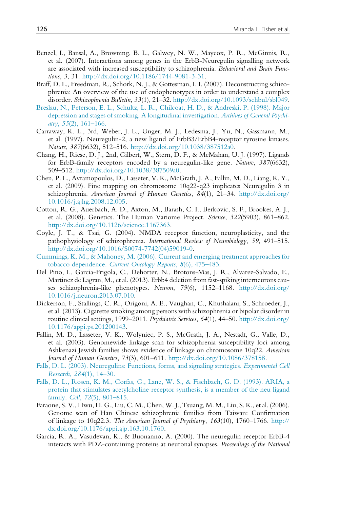- Benzel, I., Bansal, A., Browning, B. L., Galwey, N. W., Maycox, P. R., McGinnis, R., et al. (2007). Interactions among genes in the ErbB-Neuregulin signalling network are associated with increased susceptibility to schizophrenia. Behavioral and Brain Functions, 3, 31. [http://dx.doi.org/10.1186/1744-9081-3-31.](http://dx.doi.org/10.1186/1744-9081-3-31)
- Braff, D. L., Freedman, R., Schork, N. J., & Gottesman, I. I. (2007). Deconstructing schizophrenia: An overview of the use of endophenotypes in order to understand a complex disorder. Schizophrenia Bulletin, 33(1), 21–32. [http://dx.doi.org/10.1093/schbul/sbl049.](http://dx.doi.org/10.1093/schbul/sbl049)
- [Breslau, N., Peterson, E. L., Schultz, L. R., Chilcoat, H. D., & Andreski, P. \(1998\). Major](http://refhub.elsevier.com/S0074-7742(15)00052-5/rf0055) [depression and stages of smoking. A longitudinal investigation.](http://refhub.elsevier.com/S0074-7742(15)00052-5/rf0055) Archives of General Psychi- $\text{atry}, 55(2), 161-166.$
- Carraway, K. L., 3rd, Weber, J. L., Unger, M. J., Ledesma, J., Yu, N., Gassmann, M., et al. (1997). Neuregulin-2, a new ligand of ErbB3/ErbB4-receptor tyrosine kinases. Nature, 387(6632), 512–516. [http://dx.doi.org/10.1038/387512a0.](http://dx.doi.org/10.1038/387512a0)
- Chang, H., Riese, D. J., 2nd, Gilbert, W., Stern, D. F., & McMahan, U. J. (1997). Ligands for ErbB-family receptors encoded by a neuregulin-like gene. Nature, 387(6632), 509–512. [http://dx.doi.org/10.1038/387509a0.](http://dx.doi.org/10.1038/387509a0)
- Chen, P. L., Avramopoulos, D., Lasseter, V. K., McGrath, J. A., Fallin, M. D., Liang, K. Y., et al. (2009). Fine mapping on chromosome 10q22-q23 implicates Neuregulin 3 in schizophrenia. American Journal of Human Genetics, 84(1), 21-34. [http://dx.doi.org/](http://dx.doi.org/10.1016/j.ajhg.2008.12.005) [10.1016/j.ajhg.2008.12.005.](http://dx.doi.org/10.1016/j.ajhg.2008.12.005)
- Cotton, R. G., Auerbach, A. D., Axton, M., Barash, C. I., Berkovic, S. F., Brookes, A. J., et al. (2008). Genetics. The Human Variome Project. Science, 322(5903), 861–862. [http://dx.doi.org/10.1126/science.1167363.](http://dx.doi.org/10.1126/science.1167363)
- Coyle, J. T., & Tsai, G. (2004). NMDA receptor function, neuroplasticity, and the pathophysiology of schizophrenia. International Review of Neurobiology, 59, 491–515. [http://dx.doi.org/10.1016/S0074-7742\(04\)59019-0.](http://dx.doi.org/10.1016/S0074-7742(04)59019-0)
- [Cummings, K. M., & Mahoney, M. \(2006\). Current and emerging treatment approaches for](http://refhub.elsevier.com/S0074-7742(15)00052-5/rf0085) tobacco dependence. [Current Oncology Reports](http://refhub.elsevier.com/S0074-7742(15)00052-5/rf0085), 8(6), 475–483.
- Del Pino, I., Garcia-Frigola, C., Dehorter, N., Brotons-Mas, J. R., Alvarez-Salvado, E., Martinez de Lagran, M., et al. (2013). Erbb4 deletion from fast-spiking interneurons causes schizophrenia-like phenotypes. Neuron, 79(6), 1152–1168. [http://dx.doi.org/](http://dx.doi.org/10.1016/j.neuron.2013.07.010) [10.1016/j.neuron.2013.07.010.](http://dx.doi.org/10.1016/j.neuron.2013.07.010)
- Dickerson, F., Stallings, C. R., Origoni, A. E., Vaughan, C., Khushalani, S., Schroeder, J., et al. (2013). Cigarette smoking among persons with schizophrenia or bipolar disorder in routine clinical settings, 1999–2011. Psychiatric Services, 64(1), 44–50. [http://dx.doi.org/](http://dx.doi.org/10.1176/appi.ps.201200143) [10.1176/appi.ps.201200143](http://dx.doi.org/10.1176/appi.ps.201200143).
- Fallin, M. D., Lasseter, V. K., Wolyniec, P. S., McGrath, J. A., Nestadt, G., Valle, D., et al. (2003). Genomewide linkage scan for schizophrenia susceptibility loci among Ashkenazi Jewish families shows evidence of linkage on chromosome 10q22. American Journal of Human Genetics, 73(3), 601–611. <http://dx.doi.org/10.1086/378158>.
- [Falls, D. L. \(2003\). Neuregulins: Functions, forms, and signaling strategies.](http://refhub.elsevier.com/S0074-7742(15)00052-5/rf0105) Experimental Cell Research, 284[\(1\), 14–30.](http://refhub.elsevier.com/S0074-7742(15)00052-5/rf0105)
- [Falls, D. L., Rosen, K. M., Corfas, G., Lane, W. S., & Fischbach, G. D. \(1993\). ARIA, a](http://refhub.elsevier.com/S0074-7742(15)00052-5/rf0110) [protein that stimulates acetylcholine receptor synthesis, is a member of the neu ligand](http://refhub.elsevier.com/S0074-7742(15)00052-5/rf0110) family. Cell, 72[\(5\), 801–815.](http://refhub.elsevier.com/S0074-7742(15)00052-5/rf0110)
- Faraone, S. V., Hwu, H. G., Liu, C. M., Chen, W. J., Tsuang, M. M., Liu, S. K., et al. (2006). Genome scan of Han Chinese schizophrenia families from Taiwan: Confirmation of linkage to 10q22.3. The American Journal of Psychiatry, 163(10), 1760–1766. [http://](http://dx.doi.org/10.1176/appi.ajp.163.10.1760) [dx.doi.org/10.1176/appi.ajp.163.10.1760.](http://dx.doi.org/10.1176/appi.ajp.163.10.1760)
- Garcia, R. A., Vasudevan, K., & Buonanno, A. (2000). The neuregulin receptor ErbB-4 interacts with PDZ-containing proteins at neuronal synapses. Proceedings of the National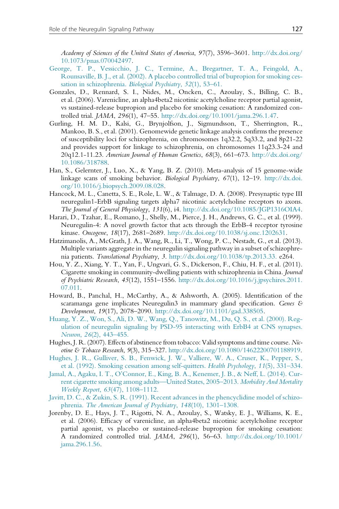Academy of Sciences of the United States of America, 97(7), 3596–3601. [http://dx.doi.org/](http://dx.doi.org/10.1073/pnas.070042497) [10.1073/pnas.070042497.](http://dx.doi.org/10.1073/pnas.070042497)

- [George, T. P., Vessicchio, J. C., Termine, A., Bregartner, T. A., Feingold, A.,](http://refhub.elsevier.com/S0074-7742(15)00052-5/rf0125) [Rounsaville, B. J., et al. \(2002\). A placebo controlled trial of bupropion for smoking ces](http://refhub.elsevier.com/S0074-7742(15)00052-5/rf0125)[sation in schizophrenia.](http://refhub.elsevier.com/S0074-7742(15)00052-5/rf0125) Biological Psychiatry, 52(1), 53–61.
- Gonzales, D., Rennard, S. I., Nides, M., Oncken, C., Azoulay, S., Billing, C. B., et al. (2006). Varenicline, an alpha4beta2 nicotinic acetylcholine receptor partial agonist, vs sustained-release bupropion and placebo for smoking cessation: A randomized controlled trial. JAMA, 296(1), 47–55. [http://dx.doi.org/10.1001/jama.296.1.47.](http://dx.doi.org/10.1001/jama.296.1.47)
- Gurling, H. M. D., Kalsi, G., Brynjolfson, J., Sigmundsson, T., Sherrington, R., Mankoo, B. S., et al. (2001). Genomewide genetic linkage analysis confirms the presence of susceptibility loci for schizophrenia, on chromosomes 1q32.2, 5q33.2, and 8p21-22 and provides support for linkage to schizophrenia, on chromosomes 11q23.3-24 and  $20q12.1-11.23$ . American Journal of Human Genetics, 68(3), 661-673. [http://dx.doi.org/](http://dx.doi.org/10.1086/318788) [10.1086/318788.](http://dx.doi.org/10.1086/318788)
- Han, S., Gelernter, J., Luo, X., & Yang, B. Z. (2010). Meta-analysis of 15 genome-wide linkage scans of smoking behavior. Biological Psychiatry, 67(1), 12–19. [http://dx.doi.](http://dx.doi.org/10.1016/j.biopsych.2009.08.028) [org/10.1016/j.biopsych.2009.08.028.](http://dx.doi.org/10.1016/j.biopsych.2009.08.028)
- Hancock, M. L., Canetta, S. E., Role, L. W., & Talmage, D. A. (2008). Presynaptic type III neuregulin1-ErbB signaling targets alpha7 nicotinic acetylcholine receptors to axons. The Journal of General Physiology, 131(6), i4. <http://dx.doi.org/10.1085/JGP1316OIA4>.
- Harari, D., Tzahar, E., Romano, J., Shelly, M., Pierce, J. H., Andrews, G. C., et al. (1999). Neuregulin-4: A novel growth factor that acts through the ErbB-4 receptor tyrosine kinase. Oncogene, 18(17), 2681–2689. <http://dx.doi.org/10.1038/sj.onc.1202631>.
- Hatzimanolis, A., McGrath, J. A., Wang, R., Li, T., Wong, P. C., Nestadt, G., et al. (2013). Multiple variants aggregate in the neuregulin signaling pathway in a subset of schizophrenia patients. Translational Psychiatry, 3. [http://dx.doi.org/10.1038/tp.2013.33.](http://dx.doi.org/10.1038/tp.2013.33) e264.
- Hou, Y. Z., Xiang, Y. T., Yan, F., Ungvari, G. S., Dickerson, F., Chiu, H. F., et al. (2011). Cigarette smoking in community-dwelling patients with schizophrenia in China. Journal of Psychiatric Research,  $45(12)$ ,  $1551-1556$ . [http://dx.doi.org/10.1016/j.jpsychires.2011.](http://dx.doi.org/10.1016/j.jpsychires.2011.07.011) [07.011](http://dx.doi.org/10.1016/j.jpsychires.2011.07.011).
- Howard, B., Panchal, H., McCarthy, A., & Ashworth, A. (2005). Identification of the scaramanga gene implicates Neuregulin3 in mammary gland specification. Genes & Development, 19(17), 2078–2090. [http://dx.doi.org/10.1101/gad.338505.](http://dx.doi.org/10.1101/gad.338505)
- [Huang, Y. Z., Won, S., Ali, D. W., Wang, Q., Tanowitz, M., Du, Q. S., et al. \(2000\). Reg](http://refhub.elsevier.com/S0074-7742(15)00052-5/rf0170)[ulation of neuregulin signaling by PSD-95 interacting with ErbB4 at CNS synapses.](http://refhub.elsevier.com/S0074-7742(15)00052-5/rf0170) Neuron, 26[\(2\), 443–455.](http://refhub.elsevier.com/S0074-7742(15)00052-5/rf0170)
- Hughes, J. R. (2007). Effects of abstinence from tobacco: Valid symptoms and time course. Nicotine & Tobacco Research, 9(3), 315–327. [http://dx.doi.org/10.1080/14622200701188919.](http://dx.doi.org/10.1080/14622200701188919)
- [Hughes, J. R., Gulliver, S. B., Fenwick, J. W., Valliere, W. A., Cruser, K., Pepper, S.,](http://refhub.elsevier.com/S0074-7742(15)00052-5/rf0180) [et al. \(1992\). Smoking cessation among self-quitters.](http://refhub.elsevier.com/S0074-7742(15)00052-5/rf0180) Health Psychology, 11(5), 331–334.
- [Jamal, A., Agaku, I. T., O'Connor, E., King, B. A., Kenemer, J. B., & Neff, L. \(2014\). Cur](http://refhub.elsevier.com/S0074-7742(15)00052-5/rf0185)[rent cigarette smoking among adults—United States, 2005–2013.](http://refhub.elsevier.com/S0074-7742(15)00052-5/rf0185) Morbidity And Mortality Weekly Report, 63[\(47\), 1108–1112.](http://refhub.elsevier.com/S0074-7742(15)00052-5/rf0185)
- [Javitt, D. C., & Zukin, S. R. \(1991\). Recent advances in the phencyclidine model of schizo](http://refhub.elsevier.com/S0074-7742(15)00052-5/rf0190)phrenia. [The American Journal of Psychiatry](http://refhub.elsevier.com/S0074-7742(15)00052-5/rf0190), 148(10), 1301–1308.
- Jorenby, D. E., Hays, J. T., Rigotti, N. A., Azoulay, S., Watsky, E. J., Williams, K. E., et al. (2006). Efficacy of varenicline, an alpha4beta2 nicotinic acetylcholine receptor partial agonist, vs placebo or sustained-release bupropion for smoking cessation: A randomized controlled trial. JAMA, 296(1), 56–63. [http://dx.doi.org/10.1001/](http://dx.doi.org/10.1001/jama.296.1.56) [jama.296.1.56.](http://dx.doi.org/10.1001/jama.296.1.56)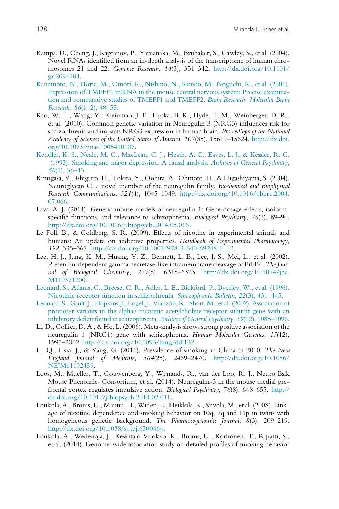- Kampa, D., Cheng, J., Kapranov, P., Yamanaka, M., Brubaker, S., Cawley, S., et al. (2004). Novel RNAs identified from an in-depth analysis of the transcriptome of human chromosomes 21 and 22. Genome Research, 14(3), 331–342. [http://dx.doi.org/10.1101/](http://dx.doi.org/10.1101/gr.2094104) [gr.2094104.](http://dx.doi.org/10.1101/gr.2094104)
- [Kanemoto, N., Horie, M., Omori, K., Nishino, N., Kondo, M., Noguchi, K., et al. \(2001\).](http://refhub.elsevier.com/S0074-7742(15)00052-5/rf0205) [Expression of TMEFF1 mRNA in the mouse central nervous system: Precise examina](http://refhub.elsevier.com/S0074-7742(15)00052-5/rf0205)[tion and comparative studies of TMEFF1 and TMEFF2.](http://refhub.elsevier.com/S0074-7742(15)00052-5/rf0205) Brain Research. Molecular Brain Research, 86[\(1–2\), 48–55.](http://refhub.elsevier.com/S0074-7742(15)00052-5/rf0205)
- Kao, W. T., Wang, Y., Kleinman, J. E., Lipska, B. K., Hyde, T. M., Weinberger, D. R., et al. (2010). Common genetic variation in Neuregulin 3 (NRG3) influences risk for schizophrenia and impacts NRG3 expression in human brain. Proceedings of the National Academy of Sciences of the United States of America, 107(35), 15619–15624. [http://dx.doi.](http://dx.doi.org/10.1073/pnas.1005410107) [org/10.1073/pnas.1005410107.](http://dx.doi.org/10.1073/pnas.1005410107)
- [Kendler, K. S., Neale, M. C., MacLean, C. J., Heath, A. C., Eaves, L. J., & Kessler, R. C.](http://refhub.elsevier.com/S0074-7742(15)00052-5/rf0215) [\(1993\). Smoking and major depression. A causal analysis.](http://refhub.elsevier.com/S0074-7742(15)00052-5/rf0215) Archives of General Psychiatry,  $50(1)$ , 36–43.
- Kinugasa, Y., Ishiguro, H., Tokita, Y., Oohira, A., Ohmoto, H., & Higashiyama, S. (2004). Neuroglycan C, a novel member of the neuregulin family. Biochemical and Biophysical Research Communications, 321(4), 1045–1049. [http://dx.doi.org/10.1016/j.bbrc.2004.](http://dx.doi.org/10.1016/j.bbrc.2004.07.066) [07.066.](http://dx.doi.org/10.1016/j.bbrc.2004.07.066)
- Law, A. J. (2014). Genetic mouse models of neuregulin 1: Gene dosage effects, isoformspecific functions, and relevance to schizophrenia. Biological Psychiatry, 76(2), 89–90. [http://dx.doi.org/10.1016/j.biopsych.2014.05.016.](http://dx.doi.org/10.1016/j.biopsych.2014.05.016)
- Le Foll, B., & Goldberg, S. R. (2009). Effects of nicotine in experimental animals and humans: An update on addictive properties. Handbook of Experimental Pharmacology, 192, 335–367. [http://dx.doi.org/10.1007/978-3-540-69248-5\\_12.](http://dx.doi.org/10.1007/978-3-540-69248-5_12)
- Lee, H. J., Jung, K. M., Huang, Y. Z., Bennett, L. B., Lee, J. S., Mei, L., et al. (2002). Presenilin-dependent gamma-secretase-like intramembrane cleavage of ErbB4. The Journal of Biological Chemistry, 277(8), 6318–6323. [http://dx.doi.org/10.1074/jbc.](http://dx.doi.org/10.1074/jbc.M110371200) [M110371200.](http://dx.doi.org/10.1074/jbc.M110371200)
- [Leonard, S., Adams, C., Breese, C. R., Adler, L. E., Bickford, P., Byerley, W., et al. \(1996\).](http://refhub.elsevier.com/S0074-7742(15)00052-5/rf0240) [Nicotinic receptor function in schizophrenia.](http://refhub.elsevier.com/S0074-7742(15)00052-5/rf0240) Schizophrenia Bulletin, 22(3), 431–445.
- [Leonard, S., Gault, J., Hopkins, J., Logel, J., Vianzon, R., Short, M., et al. \(2002\). Association of](http://refhub.elsevier.com/S0074-7742(15)00052-5/rf0245) [promoter variants in the alpha7 nicotinic acetylcholine receptor subunit gene with an](http://refhub.elsevier.com/S0074-7742(15)00052-5/rf0245) [inhibitory deficit found in schizophrenia.](http://refhub.elsevier.com/S0074-7742(15)00052-5/rf0245) Archives of General Psychiatry, 59(12), 1085–1096.
- Li, D., Collier, D. A., & He, L. (2006). Meta-analysis shows strong positive association of the neuregulin 1 (NRG1) gene with schizophrenia. Human Molecular Genetics, 15(12), 1995–2002. <http://dx.doi.org/10.1093/hmg/ddl122>.
- Li, Q., Hsia, J., & Yang, G. (2011). Prevalence of smoking in China in 2010. The New England Journal of Medicine, 364(25), 2469–2470. [http://dx.doi.org/10.1056/](http://dx.doi.org/10.1056/NEJMc1102459) [NEJMc1102459](http://dx.doi.org/10.1056/NEJMc1102459).
- Loos, M., Mueller, T., Gouwenberg, Y., Wijnands, R., van der Loo, R. J., Neuro Bsik Mouse Phenomics Consortium, et al. (2014). Neuregulin-3 in the mouse medial prefrontal cortex regulates impulsive action. Biological Psychiatry, 76(8), 648–655. [http://](http://dx.doi.org/10.1016/j.biopsych.2014.02.011) [dx.doi.org/10.1016/j.biopsych.2014.02.011](http://dx.doi.org/10.1016/j.biopsych.2014.02.011).
- Loukola, A., Broms, U., Maunu, H., Widen, E., Heikkila, K., Siivola, M., et al. (2008). Linkage of nicotine dependence and smoking behavior on 10q, 7q and 11p in twins with homogeneous genetic background. The Pharmacogenomics Journal, 8(3), 209-219. <http://dx.doi.org/10.1038/sj.tpj.6500464>.
- Loukola, A., Wedenoja, J., Keskitalo-Vuokko, K., Broms, U., Korhonen, T., Ripatti, S., et al. (2014). Genome-wide association study on detailed profiles of smoking behavior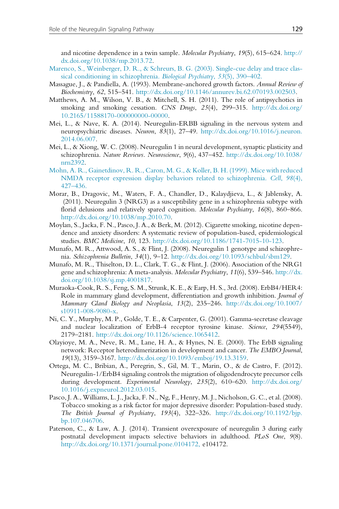and nicotine dependence in a twin sample. Molecular Psychiatry, 19(5), 615–624. [http://](http://dx.doi.org/10.1038/mp.2013.72) [dx.doi.org/10.1038/mp.2013.72](http://dx.doi.org/10.1038/mp.2013.72).

- [Marenco, S., Weinberger, D. R., & Schreurs, B. G. \(2003\). Single-cue delay and trace clas](http://refhub.elsevier.com/S0074-7742(15)00052-5/rf0275)[sical conditioning in schizophrenia.](http://refhub.elsevier.com/S0074-7742(15)00052-5/rf0275) Biological Psychiatry, 53(5), 390–402.
- Massague, J., & Pandiella, A. (1993). Membrane-anchored growth factors. Annual Review of Biochemistry, 62, 515–541. [http://dx.doi.org/10.1146/annurev.bi.62.070193.002503.](http://dx.doi.org/10.1146/annurev.bi.62.070193.002503)
- Matthews, A. M., Wilson, V. B., & Mitchell, S. H. (2011). The role of antipsychotics in smoking and smoking cessation. CNS Drugs,  $25(4)$ ,  $299-315$ . [http://dx.doi.org/](http://dx.doi.org/10.2165/11588170-000000000-00000) [10.2165/11588170-000000000-00000](http://dx.doi.org/10.2165/11588170-000000000-00000).
- Mei, L., & Nave, K. A. (2014). Neuregulin-ERBB signaling in the nervous system and neuropsychiatric diseases. Neuron, 83(1), 27–49. [http://dx.doi.org/10.1016/j.neuron.](http://dx.doi.org/10.1016/j.neuron.2014.06.007) [2014.06.007.](http://dx.doi.org/10.1016/j.neuron.2014.06.007)
- Mei, L., & Xiong, W. C. (2008). Neuregulin 1 in neural development, synaptic plasticity and schizophrenia. Nature Reviews. Neuroscience, 9(6), 437–452. [http://dx.doi.org/10.1038/](http://dx.doi.org/10.1038/nrn2392) [nrn2392.](http://dx.doi.org/10.1038/nrn2392)
- [Mohn, A. R., Gainetdinov, R. R., Caron, M. G., & Koller, B. H. \(1999\). Mice with reduced](http://refhub.elsevier.com/S0074-7742(15)00052-5/rf0300) [NMDA receptor expression display behaviors related to schizophrenia.](http://refhub.elsevier.com/S0074-7742(15)00052-5/rf0300) Cell, 98(4), [427–436.](http://refhub.elsevier.com/S0074-7742(15)00052-5/rf0300)
- Morar, B., Dragovic, M., Waters, F. A., Chandler, D., Kalaydjieva, L., & Jablensky, A. (2011). Neuregulin 3 (NRG3) as a susceptibility gene in a schizophrenia subtype with florid delusions and relatively spared cognition. Molecular Psychiatry, 16(8), 860–866. <http://dx.doi.org/10.1038/mp.2010.70>.
- Moylan, S., Jacka, F. N., Pasco, J. A., & Berk, M. (2012). Cigarette smoking, nicotine dependence and anxiety disorders: A systematic review of population-based, epidemiological studies. BMC Medicine, 10, 123. [http://dx.doi.org/10.1186/1741-7015-10-123.](http://dx.doi.org/10.1186/1741-7015-10-123)
- Munafo, M. R., Attwood, A. S., & Flint, J. (2008). Neuregulin 1 genotype and schizophrenia. Schizophrenia Bulletin, 34(1), 9–12. [http://dx.doi.org/10.1093/schbul/sbm129.](http://dx.doi.org/10.1093/schbul/sbm129)
- Munafo, M. R., Thiselton, D. L., Clark, T. G., & Flint, J. (2006). Association of the NRG1 gene and schizophrenia: A meta-analysis. Molecular Psychiatry, 11(6), 539–546. [http://dx.](http://dx.doi.org/10.1038/sj.mp.4001817) [doi.org/10.1038/sj.mp.4001817](http://dx.doi.org/10.1038/sj.mp.4001817).
- Muraoka-Cook, R. S., Feng, S. M., Strunk, K. E., & Earp, H. S., 3rd. (2008). ErbB4/HER4: Role in mammary gland development, differentiation and growth inhibition. Journal of Mammary Gland Biology and Neoplasia, 13(2), 235–246. [http://dx.doi.org/10.1007/](http://dx.doi.org/10.1007/s10911-008-9080-x) [s10911-008-9080-x](http://dx.doi.org/10.1007/s10911-008-9080-x).
- Ni, C. Y., Murphy, M. P., Golde, T. E., & Carpenter, G. (2001). Gamma-secretase cleavage and nuclear localization of ErbB-4 receptor tyrosine kinase. Science, 294(5549), 2179–2181. [http://dx.doi.org/10.1126/science.1065412.](http://dx.doi.org/10.1126/science.1065412)
- Olayioye, M. A., Neve, R. M., Lane, H. A., & Hynes, N. E. (2000). The ErbB signaling network: Receptor heterodimerization in development and cancer. The EMBO Journal, 19(13), 3159–3167. <http://dx.doi.org/10.1093/emboj/19.13.3159>.
- Ortega, M. C., Bribian, A., Peregrin, S., Gil, M. T., Marin, O., & de Castro, F. (2012). Neuregulin-1/ErbB4 signaling controls the migration of oligodendrocyte precursor cells during development. Experimental Neurology, 235(2), 610–620. [http://dx.doi.org/](http://dx.doi.org/10.1016/j.expneurol.2012.03.015) [10.1016/j.expneurol.2012.03.015](http://dx.doi.org/10.1016/j.expneurol.2012.03.015).
- Pasco, J. A., Williams, L. J., Jacka, F. N., Ng, F., Henry, M. J., Nicholson, G. C., et al. (2008). Tobacco smoking as a risk factor for major depressive disorder: Population-based study. The British Journal of Psychiatry, 193(4), 322–326. [http://dx.doi.org/10.1192/bjp.](http://dx.doi.org/10.1192/bjp.bp.107.046706) [bp.107.046706.](http://dx.doi.org/10.1192/bjp.bp.107.046706)
- Paterson, C., & Law, A. J. (2014). Transient overexposure of neuregulin 3 during early postnatal development impacts selective behaviors in adulthood. PLoS One, 9(8). [http://dx.doi.org/10.1371/journal.pone.0104172,](http://dx.doi.org/10.1371/journal.pone.0104172) e104172.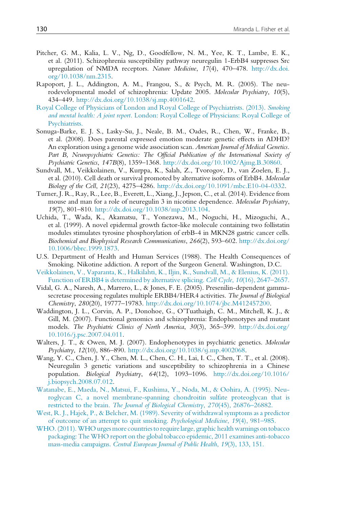- Pitcher, G. M., Kalia, L. V., Ng, D., Goodfellow, N. M., Yee, K. T., Lambe, E. K., et al. (2011). Schizophrenia susceptibility pathway neuregulin 1-ErbB4 suppresses Src upregulation of NMDA receptors. Nature Medicine, 17(4), 470–478. [http://dx.doi.](http://dx.doi.org/10.1038/nm.2315) [org/10.1038/nm.2315.](http://dx.doi.org/10.1038/nm.2315)
- Rapoport, J. L., Addington, A. M., Frangou, S., & Psych, M. R. (2005). The neurodevelopmental model of schizophrenia: Update 2005. Molecular Psychiatry, 10(5), 434–449. <http://dx.doi.org/10.1038/sj.mp.4001642>.
- [Royal College of Physicians of London and Royal College of Psychiatrists. \(2013\).](http://refhub.elsevier.com/S0074-7742(15)00052-5/rf0365) Smoking and mental health: A joint report. [London: Royal College of Physicians: Royal College of](http://refhub.elsevier.com/S0074-7742(15)00052-5/rf0365) [Psychiatrists.](http://refhub.elsevier.com/S0074-7742(15)00052-5/rf0365)
- Sonuga-Barke, E. J. S., Lasky-Su, J., Neale, B. M., Oades, R., Chen, W., Franke, B., et al. (2008). Does parental expressed emotion moderate genetic effects in ADHD? An exploration using a genome wide association scan. American Journal of Medical Genetics. Part B, Neuropsychiatric Genetics: The Official Publication of the International Society of Psychiatric Genetics, 147B(8), 1359–1368. <http://dx.doi.org/10.1002/Ajmg.B.30860>.
- Sundvall, M., Veikkolainen, V., Kurppa, K., Salah, Z., Tvorogov, D., van Zoelen, E. J., et al. (2010). Cell death or survival promoted by alternative isoforms of ErbB4. Molecular Biology of the Cell, 21(23), 4275–4286. [http://dx.doi.org/10.1091/mbc.E10-04-0332.](http://dx.doi.org/10.1091/mbc.E10-04-0332)
- Turner, J. R., Ray, R., Lee, B., Everett, L., Xiang, J., Jepson, C., et al. (2014). Evidence from mouse and man for a role of neuregulin 3 in nicotine dependence. Molecular Psychiatry, 19(7), 801–810. <http://dx.doi.org/10.1038/mp.2013.104>.
- Uchida, T., Wada, K., Akamatsu, T., Yonezawa, M., Noguchi, H., Mizoguchi, A., et al. (1999). A novel epidermal growth factor-like molecule containing two follistatin modules stimulates tyrosine phosphorylation of erbB-4 in MKN28 gastric cancer cells. Biochemical and Biophysical Research Communications, 266(2), 593–602. [http://dx.doi.org/](http://dx.doi.org/10.1006/bbrc.1999.1873) [10.1006/bbrc.1999.1873.](http://dx.doi.org/10.1006/bbrc.1999.1873)
- U.S. Department of Health and Human Services (1988). The Health Consequences of Smoking. Nikotine addiction. A report of the Surgeon General. Washington, D.C.
- [Veikkolainen, V., Vaparanta, K., Halkilahti, K., Iljin, K., Sundvall, M., & Elenius, K. \(2011\).](http://refhub.elsevier.com/S0074-7742(15)00052-5/rf0395) [Function of ERBB4 is determined by alternative splicing.](http://refhub.elsevier.com/S0074-7742(15)00052-5/rf0395) Cell Cycle, 10(16), 2647–2657.
- Vidal, G. A., Naresh, A., Marrero, L., & Jones, F. E. (2005). Presenilin-dependent gammasecretase processing regulates multiple ERBB4/HER4 activities. The Journal of Biological Chemistry, 280(20), 19777–19783. [http://dx.doi.org/10.1074/jbc.M412457200.](http://dx.doi.org/10.1074/jbc.M412457200)
- Waddington, J. L., Corvin, A. P., Donohoe, G., O'Tuathaigh, C. M., Mitchell, K. J., & Gill, M. (2007). Functional genomics and schizophrenia: Endophenotypes and mutant models. The Psychiatric Clinics of North America, 30(3), 365–399. [http://dx.doi.org/](http://dx.doi.org/10.1016/j.psc.2007.04.011) [10.1016/j.psc.2007.04.011](http://dx.doi.org/10.1016/j.psc.2007.04.011).
- Walters, J. T., & Owen, M. J. (2007). Endophenotypes in psychiatric genetics. Molecular Psychiatry, 12(10), 886–890. <http://dx.doi.org/10.1038/sj.mp.4002068>.
- Wang, Y. C., Chen, J. Y., Chen, M. L., Chen, C. H., Lai, I. C., Chen, T. T., et al. (2008). Neuregulin 3 genetic variations and susceptibility to schizophrenia in a Chinese population. Biological Psychiatry, 64(12), 1093–1096. [http://dx.doi.org/10.1016/](http://dx.doi.org/10.1016/j.biopsych.2008.07.012) [j.biopsych.2008.07.012.](http://dx.doi.org/10.1016/j.biopsych.2008.07.012)
- [Watanabe, E., Maeda, N., Matsui, F., Kushima, Y., Noda, M., & Oohira, A. \(1995\). Neu](http://refhub.elsevier.com/S0074-7742(15)00052-5/rf0420)[roglycan C, a novel membrane-spanning chondroitin sulfate proteoglycan that is](http://refhub.elsevier.com/S0074-7742(15)00052-5/rf0420) restricted to the brain. [The Journal of Biological Chemistry](http://refhub.elsevier.com/S0074-7742(15)00052-5/rf0420), 270(45), 26876–26882.
- [West, R. J., Hajek, P., & Belcher, M. \(1989\). Severity of withdrawal symptoms as a predictor](http://refhub.elsevier.com/S0074-7742(15)00052-5/rf0425) [of outcome of an attempt to quit smoking.](http://refhub.elsevier.com/S0074-7742(15)00052-5/rf0425) Psychological Medicine, 19(4), 981–985.
- [WHO. \(2011\).WHO urges more countriesto require large, graphic health warnings ontobacco](http://refhub.elsevier.com/S0074-7742(15)00052-5/rf0430) [packaging: The WHO report on the global tobacco epidemic, 2011 examines anti-tobacco](http://refhub.elsevier.com/S0074-7742(15)00052-5/rf0430) mass-media campaigns. [Central European Journal of Public Health](http://refhub.elsevier.com/S0074-7742(15)00052-5/rf0430), 19(3), 133, 151.